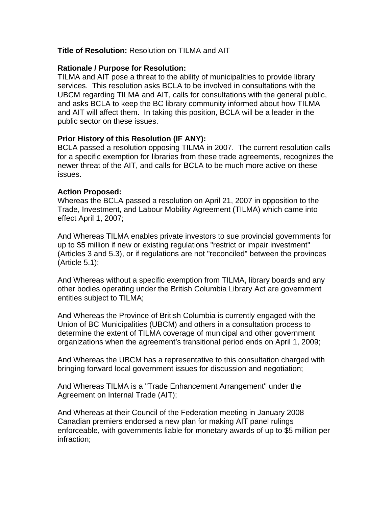### **Title of Resolution:** Resolution on TILMA and AIT

### **Rationale / Purpose for Resolution:**

TILMA and AIT pose a threat to the ability of municipalities to provide library services. This resolution asks BCLA to be involved in consultations with the UBCM regarding TILMA and AIT, calls for consultations with the general public, and asks BCLA to keep the BC library community informed about how TILMA and AIT will affect them. In taking this position, BCLA will be a leader in the public sector on these issues.

# **Prior History of this Resolution (IF ANY):**

BCLA passed a resolution opposing TILMA in 2007. The current resolution calls for a specific exemption for libraries from these trade agreements, recognizes the newer threat of the AIT, and calls for BCLA to be much more active on these issues.

# **Action Proposed:**

Whereas the BCLA passed a resolution on April 21, 2007 in opposition to the Trade, Investment, and Labour Mobility Agreement (TILMA) which came into effect April 1, 2007;

And Whereas TILMA enables private investors to sue provincial governments for up to \$5 million if new or existing regulations "restrict or impair investment" (Articles 3 and 5.3), or if regulations are not "reconciled" between the provinces (Article 5.1);

And Whereas without a specific exemption from TILMA, library boards and any other bodies operating under the British Columbia Library Act are government entities subject to TILMA;

And Whereas the Province of British Columbia is currently engaged with the Union of BC Municipalities (UBCM) and others in a consultation process to determine the extent of TILMA coverage of municipal and other government organizations when the agreement's transitional period ends on April 1, 2009;

And Whereas the UBCM has a representative to this consultation charged with bringing forward local government issues for discussion and negotiation;

And Whereas TILMA is a "Trade Enhancement Arrangement" under the Agreement on Internal Trade (AIT);

And Whereas at their Council of the Federation meeting in January 2008 Canadian premiers endorsed a new plan for making AIT panel rulings enforceable, with governments liable for monetary awards of up to \$5 million per infraction;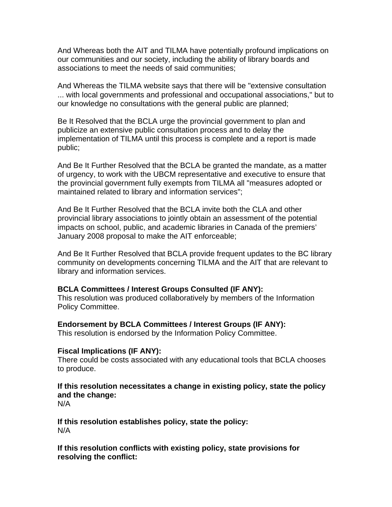And Whereas both the AIT and TILMA have potentially profound implications on our communities and our society, including the ability of library boards and associations to meet the needs of said communities;

And Whereas the TILMA website says that there will be "extensive consultation ... with local governments and professional and occupational associations," but to our knowledge no consultations with the general public are planned;

Be It Resolved that the BCLA urge the provincial government to plan and publicize an extensive public consultation process and to delay the implementation of TILMA until this process is complete and a report is made public;

And Be It Further Resolved that the BCLA be granted the mandate, as a matter of urgency, to work with the UBCM representative and executive to ensure that the provincial government fully exempts from TILMA all "measures adopted or maintained related to library and information services";

And Be It Further Resolved that the BCLA invite both the CLA and other provincial library associations to jointly obtain an assessment of the potential impacts on school, public, and academic libraries in Canada of the premiers' January 2008 proposal to make the AIT enforceable;

And Be It Further Resolved that BCLA provide frequent updates to the BC library community on developments concerning TILMA and the AIT that are relevant to library and information services.

### **BCLA Committees / Interest Groups Consulted (IF ANY):**

This resolution was produced collaboratively by members of the Information Policy Committee.

### **Endorsement by BCLA Committees / Interest Groups (IF ANY):**

This resolution is endorsed by the Information Policy Committee.

### **Fiscal Implications (IF ANY):**

There could be costs associated with any educational tools that BCLA chooses to produce.

# **If this resolution necessitates a change in existing policy, state the policy and the change:**

N/A

**If this resolution establishes policy, state the policy:**  N/A

**If this resolution conflicts with existing policy, state provisions for resolving the conflict:**